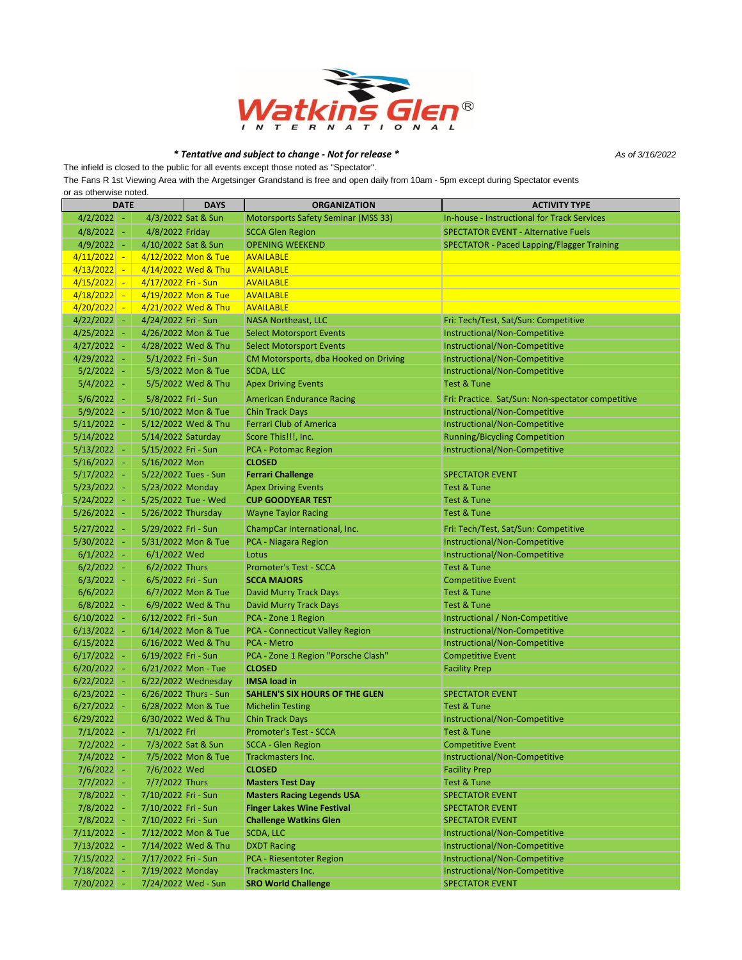

## *\* Tentative and subject to change - Not for release \**

The infield is closed to the public for all events except those noted as "Spectator".

*As of 3/16/2022*

The Fans R 1st Viewing Area with the Argetsinger Grandstand is free and open daily from 10am - 5pm except during Spectator events or as otherwise noted.

| <b>DATE</b>                 |                     | <b>DAYS</b>           | <b>ORGANIZATION</b>                    | <b>ACTIVITY TYPE</b>                               |
|-----------------------------|---------------------|-----------------------|----------------------------------------|----------------------------------------------------|
| $4/2/2022$ -                |                     | 4/3/2022 Sat & Sun    | Motorsports Safety Seminar (MSS 33)    | <b>In-house - Instructional for Track Services</b> |
| $4/8/2022$ -                | 4/8/2022 Friday     |                       | <b>SCCA Glen Region</b>                | <b>SPECTATOR EVENT - Alternative Fuels</b>         |
| $4/9/2022$ -                | 4/10/2022 Sat & Sun |                       | <b>OPENING WEEKEND</b>                 | SPECTATOR - Paced Lapping/Flagger Training         |
| $4/11/2022 -$               |                     | 4/12/2022 Mon & Tue   | <b>AVAILABLE</b>                       |                                                    |
| 4/13/2022<br>÷              |                     | 4/14/2022 Wed & Thu   | <b>AVAILABLE</b>                       |                                                    |
| 4/15/2022<br>$\blacksquare$ | 4/17/2022 Fri - Sun |                       | <b>AVAILABLE</b>                       |                                                    |
| 4/18/2022<br>$\blacksquare$ |                     | 4/19/2022 Mon & Tue   | <b>AVAILABLE</b>                       |                                                    |
| $4/20/2022$ -               |                     | 4/21/2022 Wed & Thu   | <b>AVAILABLE</b>                       |                                                    |
| $4/22/2022$ -               | 4/24/2022 Fri - Sun |                       | <b>NASA Northeast, LLC</b>             | Fri: Tech/Test, Sat/Sun: Competitive               |
| $4/25/2022$ -               |                     | 4/26/2022 Mon & Tue   | <b>Select Motorsport Events</b>        | Instructional/Non-Competitive                      |
| $4/27/2022$ -               |                     | 4/28/2022 Wed & Thu   | <b>Select Motorsport Events</b>        | Instructional/Non-Competitive                      |
| $4/29/2022$ -               | 5/1/2022 Fri - Sun  |                       | CM Motorsports, dba Hooked on Driving  | Instructional/Non-Competitive                      |
| $5/2/2022$ -                |                     | 5/3/2022 Mon & Tue    | <b>SCDA, LLC</b>                       | Instructional/Non-Competitive                      |
| $5/4/2022$ -                |                     | 5/5/2022 Wed & Thu    | <b>Apex Driving Events</b>             | <b>Test &amp; Tune</b>                             |
| $5/6/2022$ -                | 5/8/2022 Fri - Sun  |                       | <b>American Endurance Racing</b>       | Fri: Practice. Sat/Sun: Non-spectator competitive  |
| $5/9/2022$ -                |                     | 5/10/2022 Mon & Tue   | <b>Chin Track Days</b>                 | Instructional/Non-Competitive                      |
| $5/11/2022$ -               |                     | 5/12/2022 Wed & Thu   | <b>Ferrari Club of America</b>         | Instructional/Non-Competitive                      |
| 5/14/2022                   | 5/14/2022 Saturday  |                       | Score This!!!, Inc.                    | <b>Running/Bicycling Competition</b>               |
| 5/13/2022<br>$\sim$         | 5/15/2022 Fri - Sun |                       | <b>PCA - Potomac Region</b>            | Instructional/Non-Competitive                      |
| 5/16/2022<br>$\sim$         | 5/16/2022 Mon       |                       | <b>CLOSED</b>                          |                                                    |
| $5/17/2022$ -               |                     | 5/22/2022 Tues - Sun  | <b>Ferrari Challenge</b>               | <b>SPECTATOR EVENT</b>                             |
| 5/23/2022<br>$\sim$         | 5/23/2022 Monday    |                       | <b>Apex Driving Events</b>             | <b>Test &amp; Tune</b>                             |
| 5/24/2022<br>$\sim$         |                     | 5/25/2022 Tue - Wed   | <b>CUP GOODYEAR TEST</b>               | <b>Test &amp; Tune</b>                             |
| 5/26/2022<br>$\sim$         | 5/26/2022 Thursday  |                       | <b>Wayne Taylor Racing</b>             | <b>Test &amp; Tune</b>                             |
| $5/27/2022$ -               | 5/29/2022 Fri - Sun |                       | ChampCar International, Inc.           | Fri: Tech/Test, Sat/Sun: Competitive               |
| 5/30/2022<br>$\sim$         |                     | 5/31/2022 Mon & Tue   | PCA - Niagara Region                   | Instructional/Non-Competitive                      |
| $6/1/2022$ -                | 6/1/2022 Wed        |                       | Lotus                                  | Instructional/Non-Competitive                      |
| 6/2/2022<br>$\sim$          | 6/2/2022 Thurs      |                       | <b>Promoter's Test - SCCA</b>          | <b>Test &amp; Tune</b>                             |
| $6/3/2022$ -                | 6/5/2022 Fri - Sun  |                       | <b>SCCA MAJORS</b>                     | <b>Competitive Event</b>                           |
| 6/6/2022                    |                     | 6/7/2022 Mon & Tue    | <b>David Murry Track Days</b>          | <b>Test &amp; Tune</b>                             |
| $6/8/2022$ -                |                     | 6/9/2022 Wed & Thu    | <b>David Murry Track Days</b>          | <b>Test &amp; Tune</b>                             |
| $6/10/2022$ -               | 6/12/2022 Fri - Sun |                       | PCA - Zone 1 Region                    | Instructional / Non-Competitive                    |
| $6/13/2022$ -               |                     | 6/14/2022 Mon & Tue   | <b>PCA - Connecticut Valley Region</b> | Instructional/Non-Competitive                      |
| 6/15/2022                   |                     | 6/16/2022 Wed & Thu   | <b>PCA - Metro</b>                     | Instructional/Non-Competitive                      |
| $6/17/2022$ -               | 6/19/2022 Fri - Sun |                       | PCA - Zone 1 Region "Porsche Clash"    | <b>Competitive Event</b>                           |
| $6/20/2022$ -               |                     | 6/21/2022 Mon - Tue   | <b>CLOSED</b>                          | <b>Facility Prep</b>                               |
| $6/22/2022$ -               |                     | 6/22/2022 Wednesday   | <b>IMSA load in</b>                    |                                                    |
| 6/23/2022<br>$\sim$         |                     | 6/26/2022 Thurs - Sun | <b>SAHLEN'S SIX HOURS OF THE GLEN</b>  | <b>SPECTATOR EVENT</b>                             |
| $6/27/2022$ -               |                     | 6/28/2022 Mon & Tue   | <b>Michelin Testing</b>                | <b>Test &amp; Tune</b>                             |
| 6/29/2022                   |                     | 6/30/2022 Wed & Thu   | <b>Chin Track Days</b>                 | Instructional/Non-Competitive                      |
| $7/1/2022$ -                | 7/1/2022 Fri        |                       | <b>Promoter's Test - SCCA</b>          | <b>Test &amp; Tune</b>                             |
| 7/2/2022  -                 |                     | 7/3/2022 Sat & Sun    | SCCA - Glen Region                     | <b>Competitive Event</b>                           |
| $7/4/2022$ -                |                     | 7/5/2022 Mon & Tue    | Trackmasters Inc.                      | Instructional/Non-Competitive                      |
| $7/6/2022$ -                | 7/6/2022 Wed        |                       | <b>CLOSED</b>                          | <b>Facility Prep</b>                               |
| $7/7/2022$ -                | 7/7/2022 Thurs      |                       | <b>Masters Test Day</b>                | Test & Tune                                        |
| $7/8/2022$ -                | 7/10/2022 Fri - Sun |                       | <b>Masters Racing Legends USA</b>      | <b>SPECTATOR EVENT</b>                             |
| $7/8/2022$ -                | 7/10/2022 Fri - Sun |                       | <b>Finger Lakes Wine Festival</b>      | <b>SPECTATOR EVENT</b>                             |
| $7/8/2022$ -                | 7/10/2022 Fri - Sun |                       | <b>Challenge Watkins Glen</b>          | <b>SPECTATOR EVENT</b>                             |
| $7/11/2022$ -               |                     | 7/12/2022 Mon & Tue   | <b>SCDA, LLC</b>                       | Instructional/Non-Competitive                      |
| $7/13/2022$ -               |                     | 7/14/2022 Wed & Thu   | <b>DXDT Racing</b>                     | Instructional/Non-Competitive                      |
| $7/15/2022$ -               | 7/17/2022 Fri - Sun |                       | PCA - Riesentoter Region               | Instructional/Non-Competitive                      |
| $7/18/2022$ -               | 7/19/2022 Monday    |                       | <b>Trackmasters Inc.</b>               | Instructional/Non-Competitive                      |
| $7/20/2022$ -               |                     | 7/24/2022 Wed - Sun   | <b>SRO World Challenge</b>             | <b>SPECTATOR EVENT</b>                             |